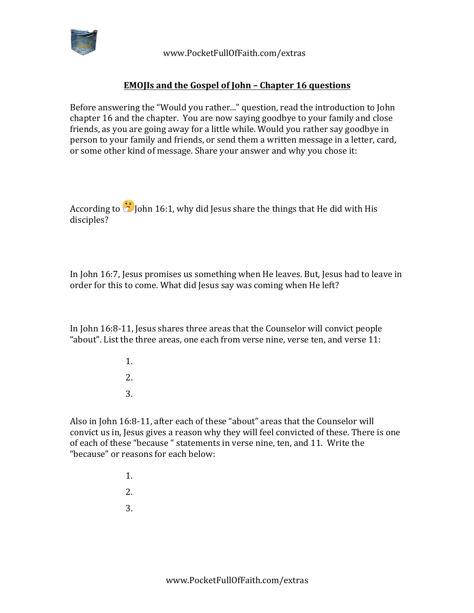

 www.PocketFullOfFaith.com/extras

## **EMOJIs and the Gospel of John - Chapter 16 questions**

Before answering the "Would you rather..." question, read the introduction to John chapter 16 and the chapter. You are now saying goodbye to your family and close friends, as you are going away for a little while. Would you rather say goodbye in person to your family and friends, or send them a written message in a letter, card, or some other kind of message. Share your answer and why you chose it:

According to  $\bigodot$  John 16:1, why did Jesus share the things that He did with His disciples?

In John 16:7, Jesus promises us something when He leaves. But, Jesus had to leave in order for this to come. What did Jesus say was coming when He left?

In John 16:8-11, Jesus shares three areas that the Counselor will convict people "about". List the three areas, one each from verse nine, verse ten, and verse  $11$ :

> 1. 2. 3.

Also in John 16:8-11, after each of these "about" areas that the Counselor will convict us in, Jesus gives a reason why they will feel convicted of these. There is one of each of these "because " statements in verse nine, ten, and 11. Write the "because" or reasons for each below:

- 1.
- 2.
- 3.